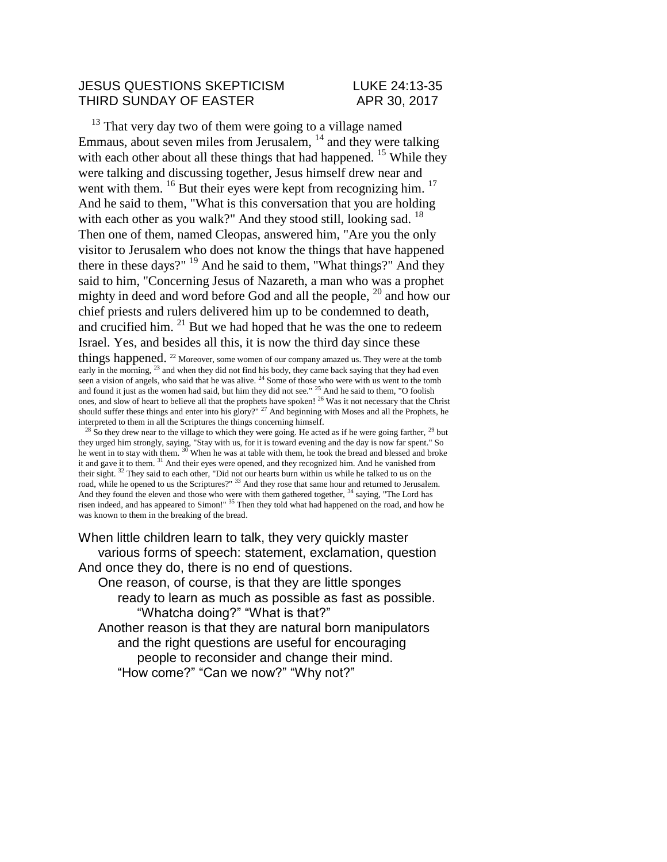## JESUS QUESTIONS SKEPTICISM LUKE 24:13-35 THIRD SUNDAY OF EASTER APR 30, 2017

 $13$  That very day two of them were going to a village named Emmaus, about seven miles from Jerusalem, <sup>14</sup> and they were talking with each other about all these things that had happened.  $15$  While they were talking and discussing together, Jesus himself drew near and went with them.  $^{16}$  But their eyes were kept from recognizing him.  $^{17}$ And he said to them, "What is this conversation that you are holding with each other as you walk?" And they stood still, looking sad. <sup>18</sup> Then one of them, named Cleopas, answered him, "Are you the only visitor to Jerusalem who does not know the things that have happened there in these days?" <sup>19</sup> And he said to them, "What things?" And they said to him, "Concerning Jesus of Nazareth, a man who was a prophet mighty in deed and word before God and all the people,  $^{20}$  and how our chief priests and rulers delivered him up to be condemned to death, and crucified him.  $21$  But we had hoped that he was the one to redeem Israel. Yes, and besides all this, it is now the third day since these

things happened. <sup>22</sup> Moreover, some women of our company amazed us. They were at the tomb early in the morning, <sup>23</sup> and when they did not find his body, they came back saying that they had even seen a vision of angels, who said that he was alive. <sup>24</sup> Some of those who were with us went to the tomb and found it just as the women had said, but him they did not see." <sup>25</sup> And he said to them, "O foolish ones, and slow of heart to believe all that the prophets have spoken! <sup>26</sup> Was it not necessary that the Christ should suffer these things and enter into his glory?" <sup>27</sup> And beginning with Moses and all the Prophets, he interpreted to them in all the Scriptures the things concerning himself.

 $^{28}$  So they drew near to the village to which they were going. He acted as if he were going farther,  $^{29}$  but they urged him strongly, saying, "Stay with us, for it is toward evening and the day is now far spent." So he went in to stay with them. <sup>30</sup> When he was at table with them, he took the bread and blessed and broke it and gave it to them. <sup>31</sup> And their eyes were opened, and they recognized him. And he vanished from their sight. <sup>32</sup> They said to each other, "Did not our hearts burn within us while he talked to us on the road, while he opened to us the Scriptures?" <sup>33</sup> And they rose that same hour and returned to Jerusalem. And they found the eleven and those who were with them gathered together, <sup>34</sup> saying, "The Lord has risen indeed, and has appeared to Simon!" <sup>35</sup> Then they told what had happened on the road, and how he was known to them in the breaking of the bread.

When little children learn to talk, they very quickly master various forms of speech: statement, exclamation, question And once they do, there is no end of questions. One reason, of course, is that they are little sponges ready to learn as much as possible as fast as possible. "Whatcha doing?" "What is that?" Another reason is that they are natural born manipulators and the right questions are useful for encouraging people to reconsider and change their mind. "How come?" "Can we now?" "Why not?"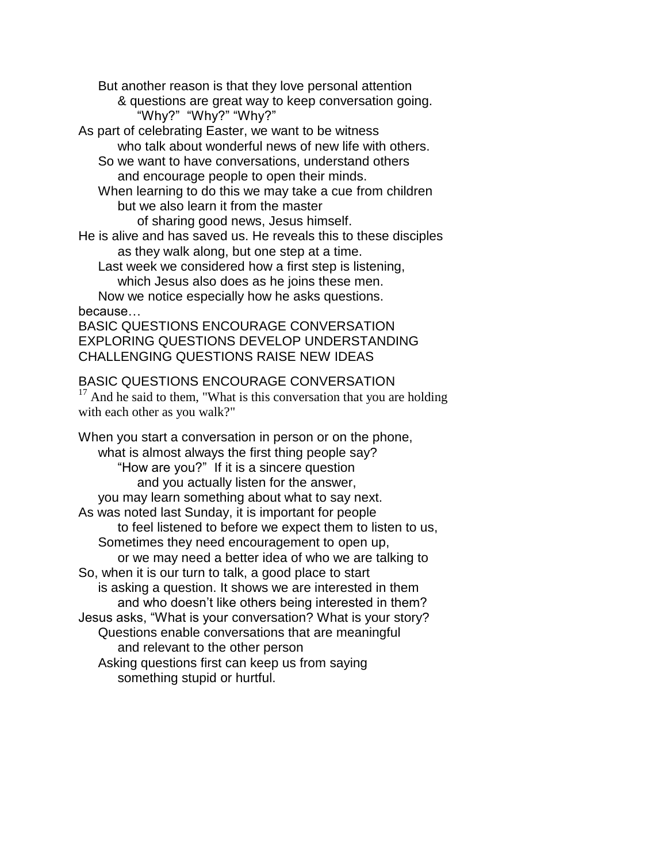But another reason is that they love personal attention

& questions are great way to keep conversation going. "Why?" "Why?" "Why?"

As part of celebrating Easter, we want to be witness who talk about wonderful news of new life with others.

So we want to have conversations, understand others and encourage people to open their minds.

When learning to do this we may take a cue from children but we also learn it from the master

of sharing good news, Jesus himself.

He is alive and has saved us. He reveals this to these disciples as they walk along, but one step at a time.

Last week we considered how a first step is listening, which Jesus also does as he joins these men.

Now we notice especially how he asks questions. because…

BASIC QUESTIONS ENCOURAGE CONVERSATION EXPLORING QUESTIONS DEVELOP UNDERSTANDING CHALLENGING QUESTIONS RAISE NEW IDEAS

BASIC QUESTIONS ENCOURAGE CONVERSATION

 $17$  And he said to them, "What is this conversation that you are holding with each other as you walk?"

When you start a conversation in person or on the phone, what is almost always the first thing people say? "How are you?" If it is a sincere question and you actually listen for the answer, you may learn something about what to say next. As was noted last Sunday, it is important for people to feel listened to before we expect them to listen to us, Sometimes they need encouragement to open up, or we may need a better idea of who we are talking to So, when it is our turn to talk, a good place to start is asking a question. It shows we are interested in them and who doesn't like others being interested in them? Jesus asks, "What is your conversation? What is your story? Questions enable conversations that are meaningful and relevant to the other person Asking questions first can keep us from saying something stupid or hurtful.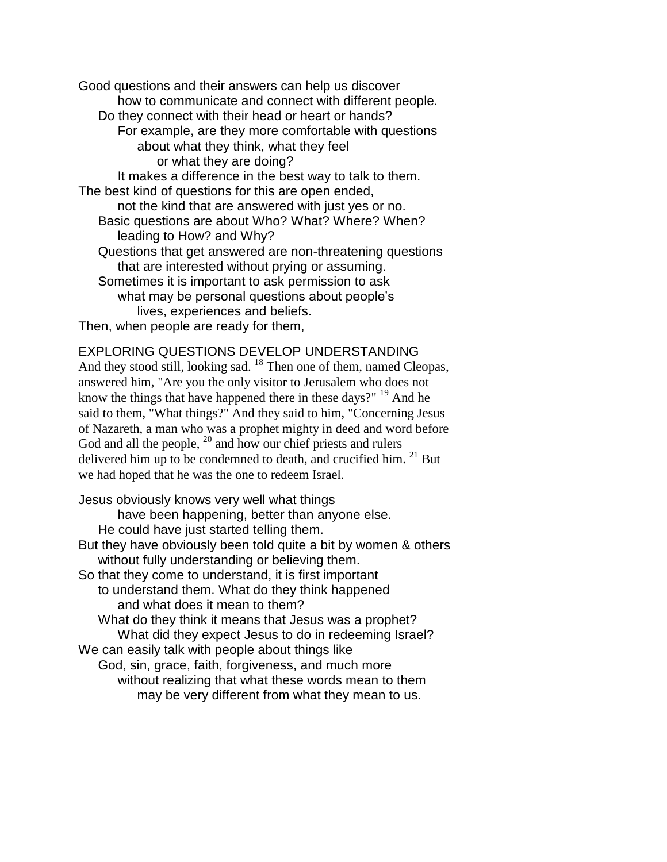Good questions and their answers can help us discover how to communicate and connect with different people. Do they connect with their head or heart or hands? For example, are they more comfortable with questions about what they think, what they feel or what they are doing? It makes a difference in the best way to talk to them. The best kind of questions for this are open ended, not the kind that are answered with just yes or no. Basic questions are about Who? What? Where? When? leading to How? and Why? Questions that get answered are non-threatening questions that are interested without prying or assuming. Sometimes it is important to ask permission to ask what may be personal questions about people's lives, experiences and beliefs. Then, when people are ready for them,

EXPLORING QUESTIONS DEVELOP UNDERSTANDING And they stood still, looking sad. <sup>18</sup> Then one of them, named Cleopas, answered him, "Are you the only visitor to Jerusalem who does not know the things that have happened there in these days?" <sup>19</sup> And he said to them, "What things?" And they said to him, "Concerning Jesus of Nazareth, a man who was a prophet mighty in deed and word before God and all the people,  $^{20}$  and how our chief priests and rulers delivered him up to be condemned to death, and crucified him.  $21$  But we had hoped that he was the one to redeem Israel.

Jesus obviously knows very well what things have been happening, better than anyone else. He could have just started telling them. But they have obviously been told quite a bit by women & others without fully understanding or believing them. So that they come to understand, it is first important to understand them. What do they think happened and what does it mean to them? What do they think it means that Jesus was a prophet? What did they expect Jesus to do in redeeming Israel? We can easily talk with people about things like God, sin, grace, faith, forgiveness, and much more without realizing that what these words mean to them may be very different from what they mean to us.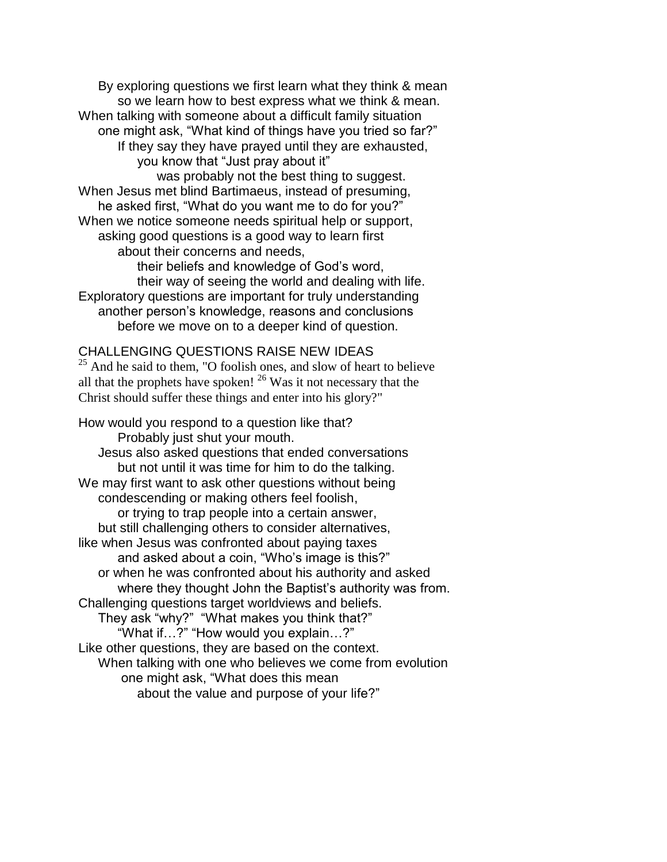By exploring questions we first learn what they think & mean so we learn how to best express what we think & mean. When talking with someone about a difficult family situation one might ask, "What kind of things have you tried so far?" If they say they have prayed until they are exhausted, you know that "Just pray about it" was probably not the best thing to suggest. When Jesus met blind Bartimaeus, instead of presuming, he asked first, "What do you want me to do for you?" When we notice someone needs spiritual help or support, asking good questions is a good way to learn first about their concerns and needs, their beliefs and knowledge of God's word, their way of seeing the world and dealing with life. Exploratory questions are important for truly understanding another person's knowledge, reasons and conclusions before we move on to a deeper kind of question.

## CHALLENGING QUESTIONS RAISE NEW IDEAS

 $25$  And he said to them, "O foolish ones, and slow of heart to believe all that the prophets have spoken!  $^{26}$  Was it not necessary that the Christ should suffer these things and enter into his glory?"

How would you respond to a question like that? Probably just shut your mouth. Jesus also asked questions that ended conversations but not until it was time for him to do the talking. We may first want to ask other questions without being condescending or making others feel foolish, or trying to trap people into a certain answer, but still challenging others to consider alternatives, like when Jesus was confronted about paying taxes and asked about a coin, "Who's image is this?" or when he was confronted about his authority and asked where they thought John the Baptist's authority was from. Challenging questions target worldviews and beliefs. They ask "why?" "What makes you think that?" "What if…?" "How would you explain…?" Like other questions, they are based on the context. When talking with one who believes we come from evolution one might ask, "What does this mean about the value and purpose of your life?"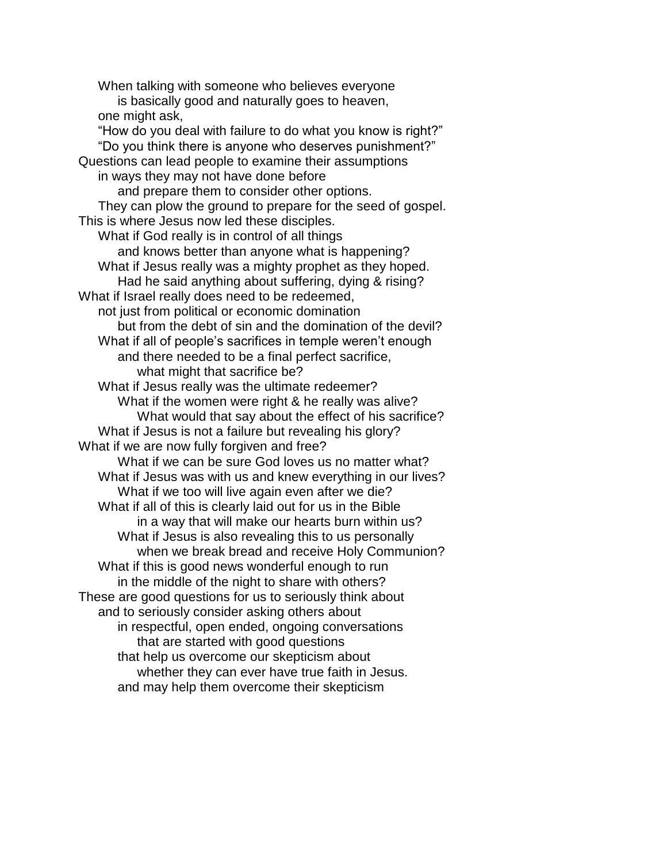When talking with someone who believes everyone is basically good and naturally goes to heaven, one might ask, "How do you deal with failure to do what you know is right?" "Do you think there is anyone who deserves punishment?" Questions can lead people to examine their assumptions in ways they may not have done before and prepare them to consider other options. They can plow the ground to prepare for the seed of gospel. This is where Jesus now led these disciples. What if God really is in control of all things and knows better than anyone what is happening? What if Jesus really was a mighty prophet as they hoped. Had he said anything about suffering, dying & rising? What if Israel really does need to be redeemed, not just from political or economic domination but from the debt of sin and the domination of the devil? What if all of people's sacrifices in temple weren't enough and there needed to be a final perfect sacrifice, what might that sacrifice be? What if Jesus really was the ultimate redeemer? What if the women were right & he really was alive? What would that say about the effect of his sacrifice? What if Jesus is not a failure but revealing his glory? What if we are now fully forgiven and free? What if we can be sure God loves us no matter what? What if Jesus was with us and knew everything in our lives? What if we too will live again even after we die? What if all of this is clearly laid out for us in the Bible in a way that will make our hearts burn within us? What if Jesus is also revealing this to us personally when we break bread and receive Holy Communion? What if this is good news wonderful enough to run in the middle of the night to share with others? These are good questions for us to seriously think about and to seriously consider asking others about in respectful, open ended, ongoing conversations that are started with good questions that help us overcome our skepticism about whether they can ever have true faith in Jesus. and may help them overcome their skepticism